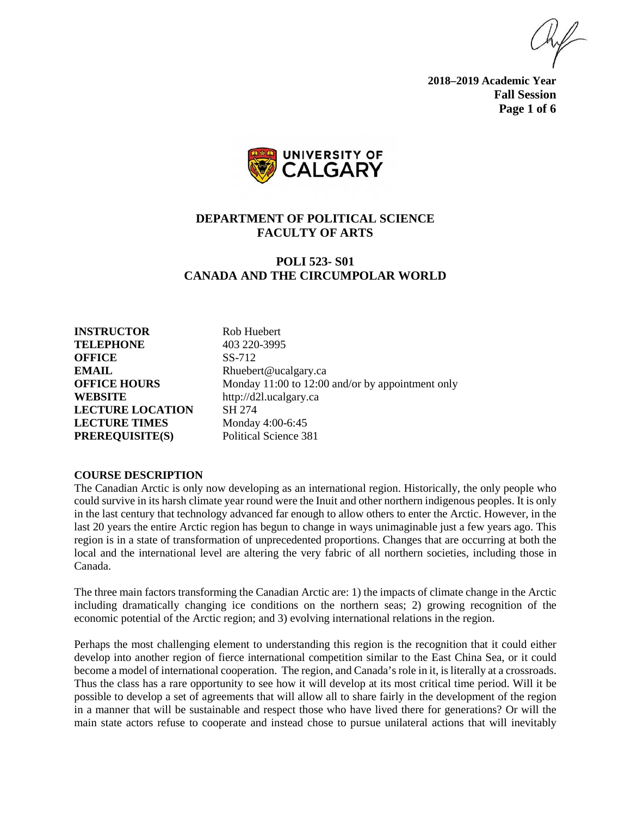**2018–2019 Academic Year Fall Session Page 1 of 6**



# **DEPARTMENT OF POLITICAL SCIENCE FACULTY OF ARTS**

# **POLI 523- S01 CANADA AND THE CIRCUMPOLAR WORLD**

**INSTRUCTOR** Rob Huebert **TELEPHONE** 403 220-3995 **OFFICE** SS-712 **EMAIL** Rhuebert@ucalgary.ca **WEBSITE** http://d2l.ucalgary.ca **LECTURE LOCATION** SH 274 **LECTURE TIMES** Monday 4:00-6:45 **PREREQUISITE(S)** Political Science 381

**OFFICE HOURS** Monday 11:00 to 12:00 and/or by appointment only

#### **COURSE DESCRIPTION**

The Canadian Arctic is only now developing as an international region. Historically, the only people who could survive in its harsh climate year round were the Inuit and other northern indigenous peoples. It is only in the last century that technology advanced far enough to allow others to enter the Arctic. However, in the last 20 years the entire Arctic region has begun to change in ways unimaginable just a few years ago. This region is in a state of transformation of unprecedented proportions. Changes that are occurring at both the local and the international level are altering the very fabric of all northern societies, including those in Canada.

The three main factors transforming the Canadian Arctic are: 1) the impacts of climate change in the Arctic including dramatically changing ice conditions on the northern seas; 2) growing recognition of the economic potential of the Arctic region; and 3) evolving international relations in the region.

Perhaps the most challenging element to understanding this region is the recognition that it could either develop into another region of fierce international competition similar to the East China Sea, or it could become a model of international cooperation. The region, and Canada's role in it, is literally at a crossroads. Thus the class has a rare opportunity to see how it will develop at its most critical time period. Will it be possible to develop a set of agreements that will allow all to share fairly in the development of the region in a manner that will be sustainable and respect those who have lived there for generations? Or will the main state actors refuse to cooperate and instead chose to pursue unilateral actions that will inevitably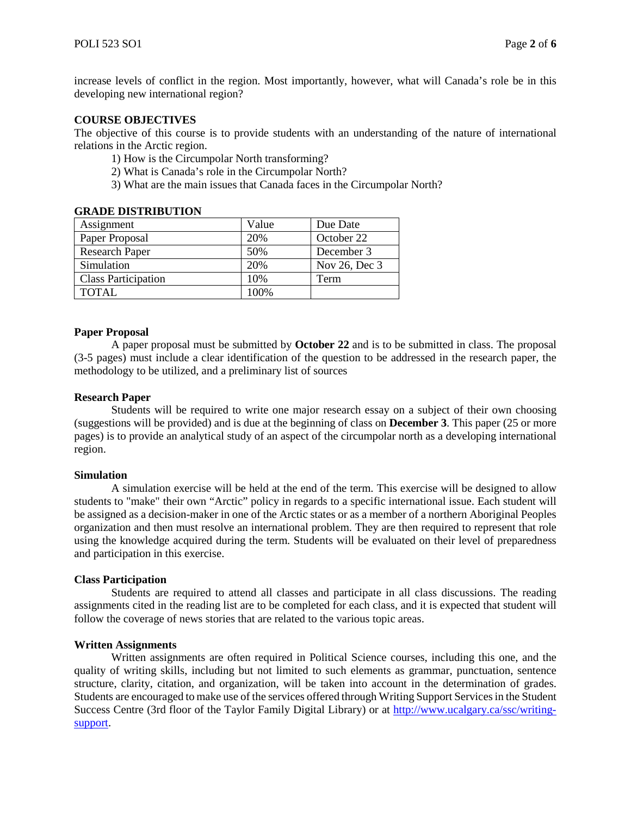increase levels of conflict in the region. Most importantly, however, what will Canada's role be in this developing new international region?

### **COURSE OBJECTIVES**

The objective of this course is to provide students with an understanding of the nature of international relations in the Arctic region.

- 1) How is the Circumpolar North transforming?
- 2) What is Canada's role in the Circumpolar North?
- 3) What are the main issues that Canada faces in the Circumpolar North?

#### **GRADE DISTRIBUTION**

| Assignment                 | Value | Due Date      |
|----------------------------|-------|---------------|
| Paper Proposal             | 20%   | October 22    |
| <b>Research Paper</b>      | 50%   | December 3    |
| Simulation                 | 20%   | Nov 26, Dec 3 |
| <b>Class Participation</b> | 10%   | Term          |
| <b>TOTAL</b>               | 100%  |               |

#### **Paper Proposal**

A paper proposal must be submitted by **October 22** and is to be submitted in class. The proposal (3-5 pages) must include a clear identification of the question to be addressed in the research paper, the methodology to be utilized, and a preliminary list of sources

#### **Research Paper**

Students will be required to write one major research essay on a subject of their own choosing (suggestions will be provided) and is due at the beginning of class on **December 3**. This paper (25 or more pages) is to provide an analytical study of an aspect of the circumpolar north as a developing international region.

#### **Simulation**

A simulation exercise will be held at the end of the term. This exercise will be designed to allow students to "make" their own "Arctic" policy in regards to a specific international issue. Each student will be assigned as a decision-maker in one of the Arctic states or as a member of a northern Aboriginal Peoples organization and then must resolve an international problem. They are then required to represent that role using the knowledge acquired during the term. Students will be evaluated on their level of preparedness and participation in this exercise.

#### **Class Participation**

Students are required to attend all classes and participate in all class discussions. The reading assignments cited in the reading list are to be completed for each class, and it is expected that student will follow the coverage of news stories that are related to the various topic areas.

#### **Written Assignments**

Written assignments are often required in Political Science courses, including this one, and the quality of writing skills, including but not limited to such elements as grammar, punctuation, sentence structure, clarity, citation, and organization, will be taken into account in the determination of grades. Students are encouraged to make use of the services offered through Writing Support Services in the Student Success Centre (3rd floor of the Taylor Family Digital Library) or at [http://www.ucalgary.ca/ssc/writing](http://www.ucalgary.ca/ssc/writing-support)[support.](http://www.ucalgary.ca/ssc/writing-support)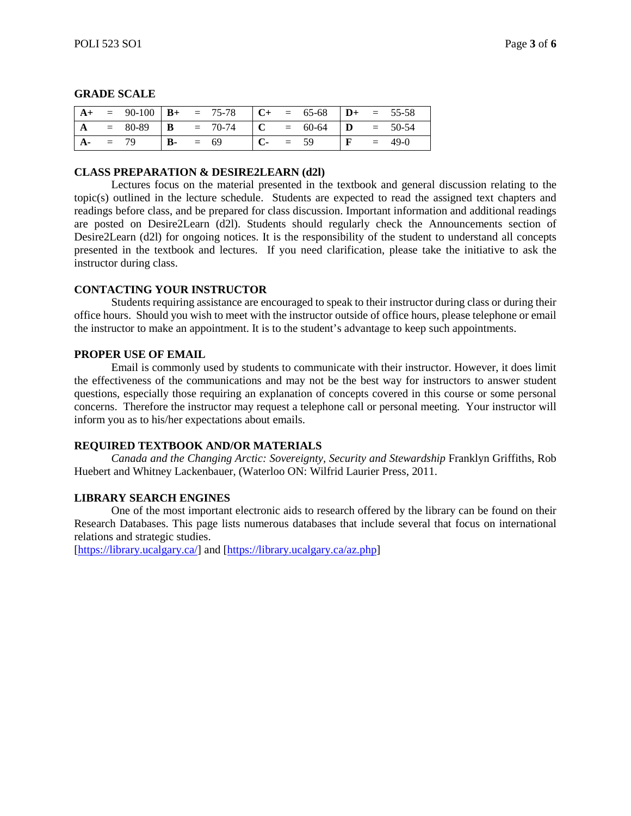|  |        |            | $\mathbf{A} + \mathbf{B} = 90 - 100 \mathbf{B} + \mathbf{C} = 75 - 78 \mathbf{C} + \mathbf{C} = 65 - 68 \mathbf{D} + \mathbf{D} = 55 - 58$ |            |  |  |                     |
|--|--------|------------|--------------------------------------------------------------------------------------------------------------------------------------------|------------|--|--|---------------------|
|  |        |            | $= 80-89$ <b>B</b> $= 70-74$ <b>C</b> $= 60-64$ <b>D</b> $= 50-54$                                                                         |            |  |  |                     |
|  | $= 79$ | $B - = 69$ |                                                                                                                                            | $C - = 59$ |  |  | $\mathbf{F} = 49-0$ |

### **GRADE SCALE**

#### **CLASS PREPARATION & DESIRE2LEARN (d2l)**

Lectures focus on the material presented in the textbook and general discussion relating to the topic(s) outlined in the lecture schedule. Students are expected to read the assigned text chapters and readings before class, and be prepared for class discussion. Important information and additional readings are posted on Desire2Learn (d2l). Students should regularly check the Announcements section of Desire2Learn (d2l) for ongoing notices. It is the responsibility of the student to understand all concepts presented in the textbook and lectures. If you need clarification, please take the initiative to ask the instructor during class.

### **CONTACTING YOUR INSTRUCTOR**

Students requiring assistance are encouraged to speak to their instructor during class or during their office hours. Should you wish to meet with the instructor outside of office hours, please telephone or email the instructor to make an appointment. It is to the student's advantage to keep such appointments.

### **PROPER USE OF EMAIL**

Email is commonly used by students to communicate with their instructor. However, it does limit the effectiveness of the communications and may not be the best way for instructors to answer student questions, especially those requiring an explanation of concepts covered in this course or some personal concerns. Therefore the instructor may request a telephone call or personal meeting. Your instructor will inform you as to his/her expectations about emails.

### **REQUIRED TEXTBOOK AND/OR MATERIALS**

*Canada and the Changing Arctic: Sovereignty, Security and Stewardship* Franklyn Griffiths, Rob Huebert and Whitney Lackenbauer, (Waterloo ON: Wilfrid Laurier Press, 2011.

### **LIBRARY SEARCH ENGINES**

One of the most important electronic aids to research offered by the library can be found on their Research Databases. This page lists numerous databases that include several that focus on international relations and strategic studies.

[\[https://library.ucalgary.ca/\]](https://library.ucalgary.ca/) and [\[https://library.ucalgary.ca/az.php\]](https://library.ucalgary.ca/az.php)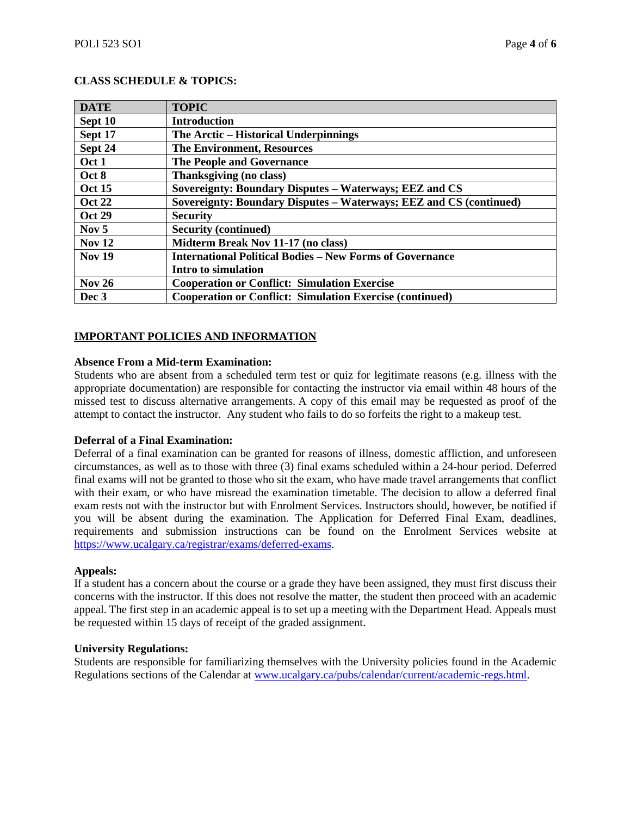## **CLASS SCHEDULE & TOPICS:**

| <b>DATE</b>   | <b>TOPIC</b>                                                       |
|---------------|--------------------------------------------------------------------|
| Sept 10       | <b>Introduction</b>                                                |
| Sept 17       | The Arctic – Historical Underpinnings                              |
| Sept 24       | <b>The Environment, Resources</b>                                  |
| Oct 1         | <b>The People and Governance</b>                                   |
| Oct 8         | Thanksgiving (no class)                                            |
| <b>Oct 15</b> | Sovereignty: Boundary Disputes - Waterways; EEZ and CS             |
| <b>Oct 22</b> | Sovereignty: Boundary Disputes – Waterways; EEZ and CS (continued) |
| <b>Oct 29</b> | <b>Security</b>                                                    |
| Nov $5$       | <b>Security (continued)</b>                                        |
| <b>Nov 12</b> | Midterm Break Nov 11-17 (no class)                                 |
| <b>Nov 19</b> | <b>International Political Bodies – New Forms of Governance</b>    |
|               | Intro to simulation                                                |
| <b>Nov 26</b> | <b>Cooperation or Conflict: Simulation Exercise</b>                |
| Dec 3         | <b>Cooperation or Conflict: Simulation Exercise (continued)</b>    |

### **IMPORTANT POLICIES AND INFORMATION**

#### **Absence From a Mid-term Examination:**

Students who are absent from a scheduled term test or quiz for legitimate reasons (e.g. illness with the appropriate documentation) are responsible for contacting the instructor via email within 48 hours of the missed test to discuss alternative arrangements. A copy of this email may be requested as proof of the attempt to contact the instructor. Any student who fails to do so forfeits the right to a makeup test.

#### **Deferral of a Final Examination:**

Deferral of a final examination can be granted for reasons of illness, domestic affliction, and unforeseen circumstances, as well as to those with three (3) final exams scheduled within a 24-hour period. Deferred final exams will not be granted to those who sit the exam, who have made travel arrangements that conflict with their exam, or who have misread the examination timetable. The decision to allow a deferred final exam rests not with the instructor but with Enrolment Services. Instructors should, however, be notified if you will be absent during the examination. The Application for Deferred Final Exam, deadlines, requirements and submission instructions can be found on the Enrolment Services website at [https://www.ucalgary.ca/registrar/exams/deferred-exams.](https://www.ucalgary.ca/registrar/exams/deferred-exams)

#### **Appeals:**

If a student has a concern about the course or a grade they have been assigned, they must first discuss their concerns with the instructor. If this does not resolve the matter, the student then proceed with an academic appeal. The first step in an academic appeal is to set up a meeting with the Department Head. Appeals must be requested within 15 days of receipt of the graded assignment.

#### **University Regulations:**

Students are responsible for familiarizing themselves with the University policies found in the Academic Regulations sections of the Calendar a[t www.ucalgary.ca/pubs/calendar/current/academic-regs.html.](http://www.ucalgary.ca/pubs/calendar/current/academic-regs.html)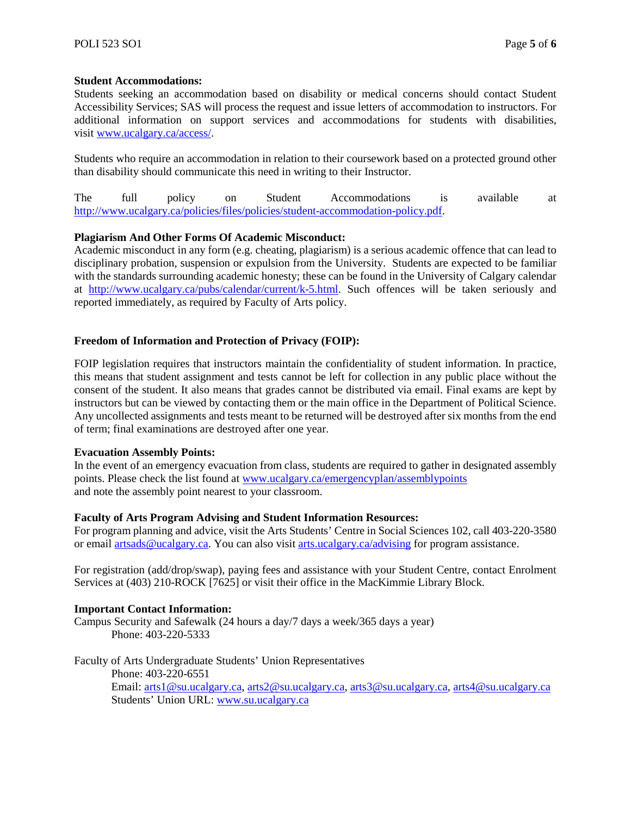### **Student Accommodations:**

Students seeking an accommodation based on disability or medical concerns should contact Student Accessibility Services; SAS will process the request and issue letters of accommodation to instructors. For additional information on support services and accommodations for students with disabilities, visit [www.ucalgary.ca/access/.](http://www.ucalgary.ca/access/)

Students who require an accommodation in relation to their coursework based on a protected ground other than disability should communicate this need in writing to their Instructor.

The full policy on Student Accommodations is available at [http://www.ucalgary.ca/policies/files/policies/student-accommodation-policy.pdf.](http://www.ucalgary.ca/policies/files/policies/student-accommodation-policy.pdf)

### **Plagiarism And Other Forms Of Academic Misconduct:**

Academic misconduct in any form (e.g. cheating, plagiarism) is a serious academic offence that can lead to disciplinary probation, suspension or expulsion from the University. Students are expected to be familiar with the standards surrounding academic honesty; these can be found in the University of Calgary calendar at [http://www.ucalgary.ca/pubs/calendar/current/k-5.html.](http://www.ucalgary.ca/pubs/calendar/current/k-5.html) Such offences will be taken seriously and reported immediately, as required by Faculty of Arts policy.

### **Freedom of Information and Protection of Privacy (FOIP):**

FOIP legislation requires that instructors maintain the confidentiality of student information. In practice, this means that student assignment and tests cannot be left for collection in any public place without the consent of the student. It also means that grades cannot be distributed via email. Final exams are kept by instructors but can be viewed by contacting them or the main office in the Department of Political Science. Any uncollected assignments and tests meant to be returned will be destroyed after six months from the end of term; final examinations are destroyed after one year.

#### **Evacuation Assembly Points:**

In the event of an emergency evacuation from class, students are required to gather in designated assembly points. Please check the list found at [www.ucalgary.ca/emergencyplan/assemblypoints](http://www.ucalgary.ca/emergencyplan/assemblypoints) and note the assembly point nearest to your classroom.

#### **Faculty of Arts Program Advising and Student Information Resources:**

For program planning and advice, visit the Arts Students' Centre in Social Sciences 102, call 403-220-3580 or email [artsads@ucalgary.ca.](mailto:artsads@ucalgary.ca) You can also visit [arts.ucalgary.ca/advising](http://arts.ucalgary.ca/advising) for program assistance.

For registration (add/drop/swap), paying fees and assistance with your Student Centre, contact Enrolment Services at (403) 210-ROCK [7625] or visit their office in the MacKimmie Library Block.

### **Important Contact Information:**

Campus Security and Safewalk (24 hours a day/7 days a week/365 days a year) Phone: 403-220-5333

Faculty of Arts Undergraduate Students' Union Representatives Phone: 403-220-6551 Email: [arts1@su.ucalgary.ca,](mailto:arts1@su.ucalgary.ca) [arts2@su.ucalgary.ca,](mailto:arts2@su.ucalgary.ca) [arts3@su.ucalgary.ca,](mailto:arts3@su.ucalgary.ca) [arts4@su.ucalgary.ca](mailto:arts4@su.ucalgary.ca) Students' Union URL: [www.su.ucalgary.ca](http://www.su.ucalgary.ca/)